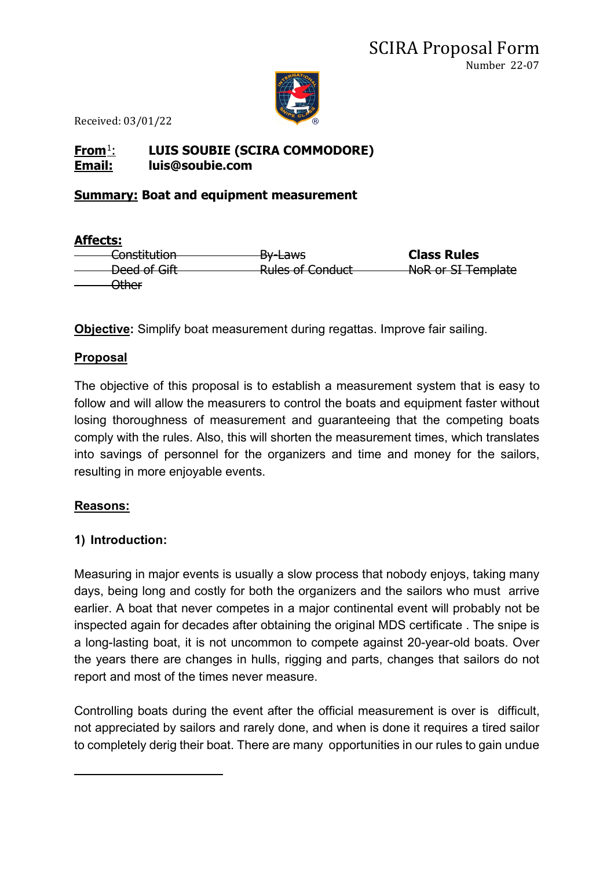

### **From**[1](#page-0-0): **LUIS SOUBIE (SCIRA COMMODORE) Email: luis@soubie.com**

#### **Summary: Boat and equipment measurement**

| <b>Affects:</b>                                               |                                                        |                    |
|---------------------------------------------------------------|--------------------------------------------------------|--------------------|
| Conch <sub>th</sub> <sub>than</sub><br><del>consulution</del> | <del>By Laws</del>                                     | <b>Class Rules</b> |
| Dood of Cift<br><del>veea or olit</del>                       | <b>Dulge of Conduct</b><br><del>Kuics or conduct</del> | NoR or SI Template |
| ∩thar<br><del>ouncr</del>                                     |                                                        |                    |

**Objective:** Simplify boat measurement during regattas. Improve fair sailing.

#### **Proposal**

The objective of this proposal is to establish a measurement system that is easy to follow and will allow the measurers to control the boats and equipment faster without losing thoroughness of measurement and guaranteeing that the competing boats comply with the rules. Also, this will shorten the measurement times, which translates into savings of personnel for the organizers and time and money for the sailors, resulting in more enjoyable events.

#### **Reasons:**

#### **1) Introduction:**

Measuring in major events is usually a slow process that nobody enjoys, taking many days, being long and costly for both the organizers and the sailors who must arrive earlier. A boat that never competes in a major continental event will probably not be inspected again for decades after obtaining the original MDS certificate . The snipe is a long-lasting boat, it is not uncommon to compete against 20-year-old boats. Over the years there are changes in hulls, rigging and parts, changes that sailors do not report and most of the times never measure.

<span id="page-0-0"></span>Controlling boats during the event after the official measurement is over is difficult, not appreciated by sailors and rarely done, and when is done it requires a tired sailor to completely derig their boat. There are many opportunities in our rules to gain undue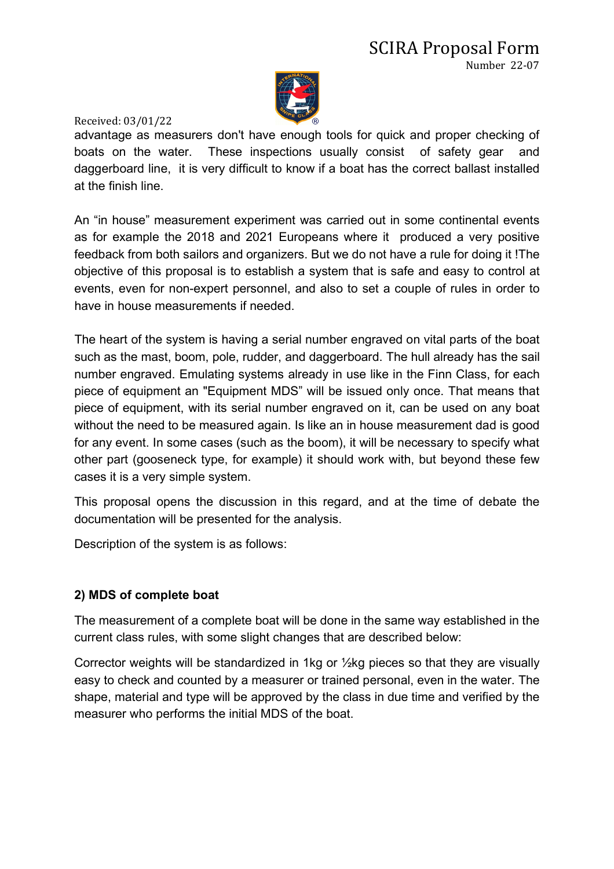

advantage as measurers don't have enough tools for quick and proper checking of boats on the water. These inspections usually consist of safety gear and daggerboard line, it is very difficult to know if a boat has the correct ballast installed at the finish line.

An "in house" measurement experiment was carried out in some continental events as for example the 2018 and 2021 Europeans where it produced a very positive feedback from both sailors and organizers. But we do not have a rule for doing it !The objective of this proposal is to establish a system that is safe and easy to control at events, even for non-expert personnel, and also to set a couple of rules in order to have in house measurements if needed.

The heart of the system is having a serial number engraved on vital parts of the boat such as the mast, boom, pole, rudder, and daggerboard. The hull already has the sail number engraved. Emulating systems already in use like in the Finn Class, for each piece of equipment an "Equipment MDS" will be issued only once. That means that piece of equipment, with its serial number engraved on it, can be used on any boat without the need to be measured again. Is like an in house measurement dad is good for any event. In some cases (such as the boom), it will be necessary to specify what other part (gooseneck type, for example) it should work with, but beyond these few cases it is a very simple system.

This proposal opens the discussion in this regard, and at the time of debate the documentation will be presented for the analysis.

Description of the system is as follows:

#### **2) MDS of complete boat**

The measurement of a complete boat will be done in the same way established in the current class rules, with some slight changes that are described below:

Corrector weights will be standardized in 1kg or ½kg pieces so that they are visually easy to check and counted by a measurer or trained personal, even in the water. The shape, material and type will be approved by the class in due time and verified by the measurer who performs the initial MDS of the boat.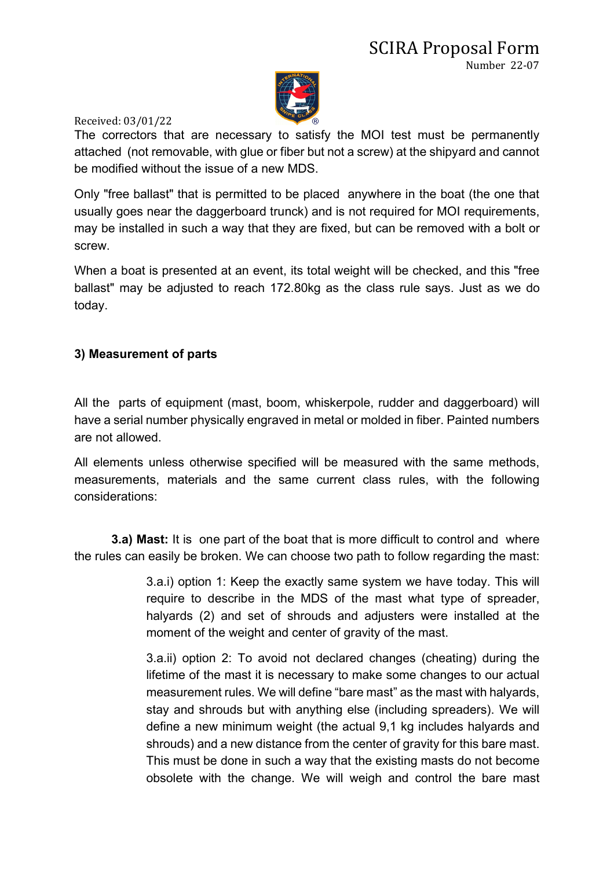

The correctors that are necessary to satisfy the MOI test must be permanently attached (not removable, with glue or fiber but not a screw) at the shipyard and cannot be modified without the issue of a new MDS.

Only "free ballast" that is permitted to be placed anywhere in the boat (the one that usually goes near the daggerboard trunck) and is not required for MOI requirements, may be installed in such a way that they are fixed, but can be removed with a bolt or screw.

When a boat is presented at an event, its total weight will be checked, and this "free ballast" may be adjusted to reach 172.80kg as the class rule says. Just as we do today.

#### **3) Measurement of parts**

All the parts of equipment (mast, boom, whiskerpole, rudder and daggerboard) will have a serial number physically engraved in metal or molded in fiber. Painted numbers are not allowed.

All elements unless otherwise specified will be measured with the same methods, measurements, materials and the same current class rules, with the following considerations:

**3.a) Mast:** It is one part of the boat that is more difficult to control and where the rules can easily be broken. We can choose two path to follow regarding the mast:

> 3.a.i) option 1: Keep the exactly same system we have today. This will require to describe in the MDS of the mast what type of spreader, halyards (2) and set of shrouds and adjusters were installed at the moment of the weight and center of gravity of the mast.

> 3.a.ii) option 2: To avoid not declared changes (cheating) during the lifetime of the mast it is necessary to make some changes to our actual measurement rules. We will define "bare mast" as the mast with halyards, stay and shrouds but with anything else (including spreaders). We will define a new minimum weight (the actual 9,1 kg includes halyards and shrouds) and a new distance from the center of gravity for this bare mast. This must be done in such a way that the existing masts do not become obsolete with the change. We will weigh and control the bare mast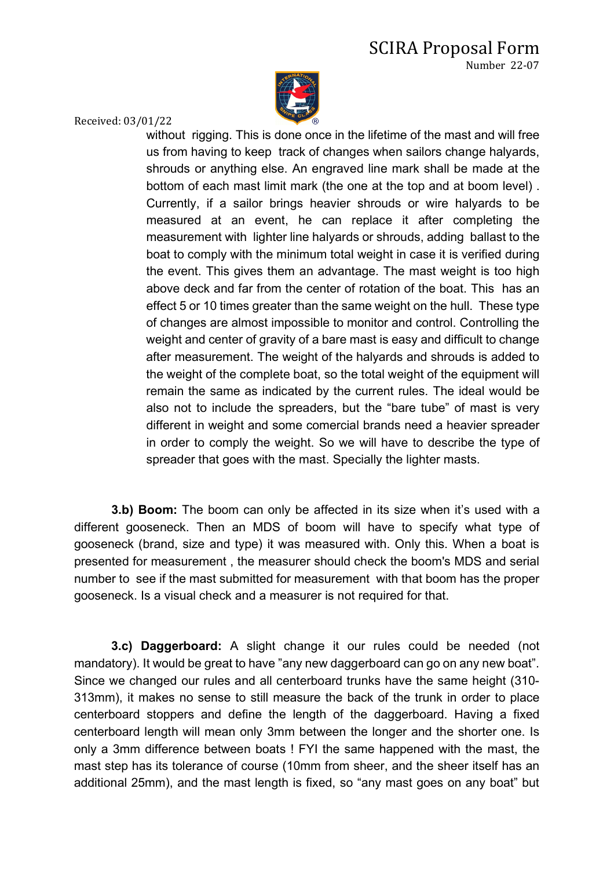# SCIRA Proposal Form

Number 22-07



Received: 03/01/22

without rigging. This is done once in the lifetime of the mast and will free us from having to keep track of changes when sailors change halyards, shrouds or anything else. An engraved line mark shall be made at the bottom of each mast limit mark (the one at the top and at boom level) . Currently, if a sailor brings heavier shrouds or wire halyards to be measured at an event, he can replace it after completing the measurement with lighter line halyards or shrouds, adding ballast to the boat to comply with the minimum total weight in case it is verified during the event. This gives them an advantage. The mast weight is too high above deck and far from the center of rotation of the boat. This has an effect 5 or 10 times greater than the same weight on the hull. These type of changes are almost impossible to monitor and control. Controlling the weight and center of gravity of a bare mast is easy and difficult to change after measurement. The weight of the halyards and shrouds is added to the weight of the complete boat, so the total weight of the equipment will remain the same as indicated by the current rules. The ideal would be also not to include the spreaders, but the "bare tube" of mast is very different in weight and some comercial brands need a heavier spreader in order to comply the weight. So we will have to describe the type of spreader that goes with the mast. Specially the lighter masts.

**3.b) Boom:** The boom can only be affected in its size when it's used with a different gooseneck. Then an MDS of boom will have to specify what type of gooseneck (brand, size and type) it was measured with. Only this. When a boat is presented for measurement , the measurer should check the boom's MDS and serial number to see if the mast submitted for measurement with that boom has the proper gooseneck. Is a visual check and a measurer is not required for that.

**3.c) Daggerboard:** A slight change it our rules could be needed (not mandatory). It would be great to have "any new daggerboard can go on any new boat". Since we changed our rules and all centerboard trunks have the same height (310- 313mm), it makes no sense to still measure the back of the trunk in order to place centerboard stoppers and define the length of the daggerboard. Having a fixed centerboard length will mean only 3mm between the longer and the shorter one. Is only a 3mm difference between boats ! FYI the same happened with the mast, the mast step has its tolerance of course (10mm from sheer, and the sheer itself has an additional 25mm), and the mast length is fixed, so "any mast goes on any boat" but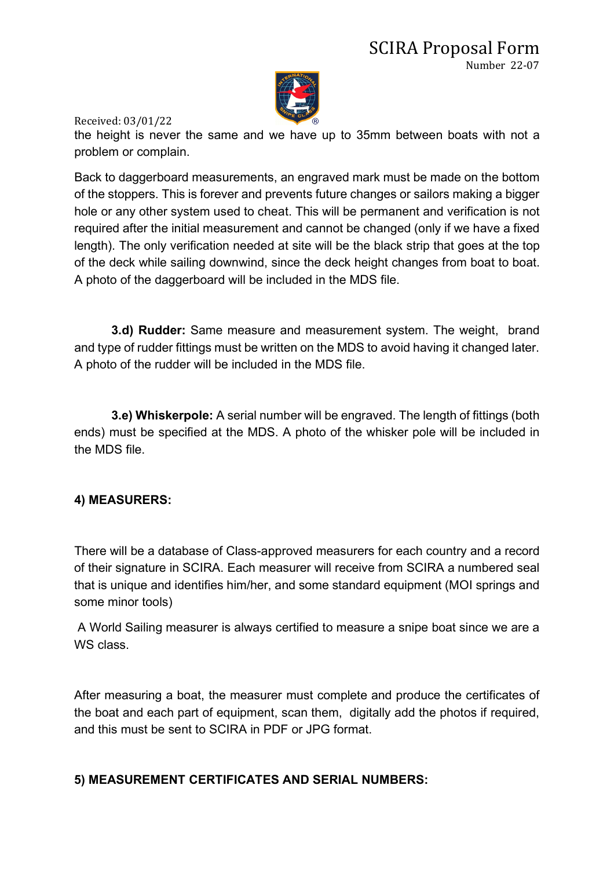

the height is never the same and we have up to 35mm between boats with not a problem or complain.

Back to daggerboard measurements, an engraved mark must be made on the bottom of the stoppers. This is forever and prevents future changes or sailors making a bigger hole or any other system used to cheat. This will be permanent and verification is not required after the initial measurement and cannot be changed (only if we have a fixed length). The only verification needed at site will be the black strip that goes at the top of the deck while sailing downwind, since the deck height changes from boat to boat. A photo of the daggerboard will be included in the MDS file.

**3.d) Rudder:** Same measure and measurement system. The weight, brand and type of rudder fittings must be written on the MDS to avoid having it changed later. A photo of the rudder will be included in the MDS file.

**3.e) Whiskerpole:** A serial number will be engraved. The length of fittings (both ends) must be specified at the MDS. A photo of the whisker pole will be included in the MDS file.

#### **4) MEASURERS:**

There will be a database of Class-approved measurers for each country and a record of their signature in SCIRA. Each measurer will receive from SCIRA a numbered seal that is unique and identifies him/her, and some standard equipment (MOI springs and some minor tools)

A World Sailing measurer is always certified to measure a snipe boat since we are a WS class.

After measuring a boat, the measurer must complete and produce the certificates of the boat and each part of equipment, scan them, digitally add the photos if required, and this must be sent to SCIRA in PDF or JPG format.

#### **5) MEASUREMENT CERTIFICATES AND SERIAL NUMBERS:**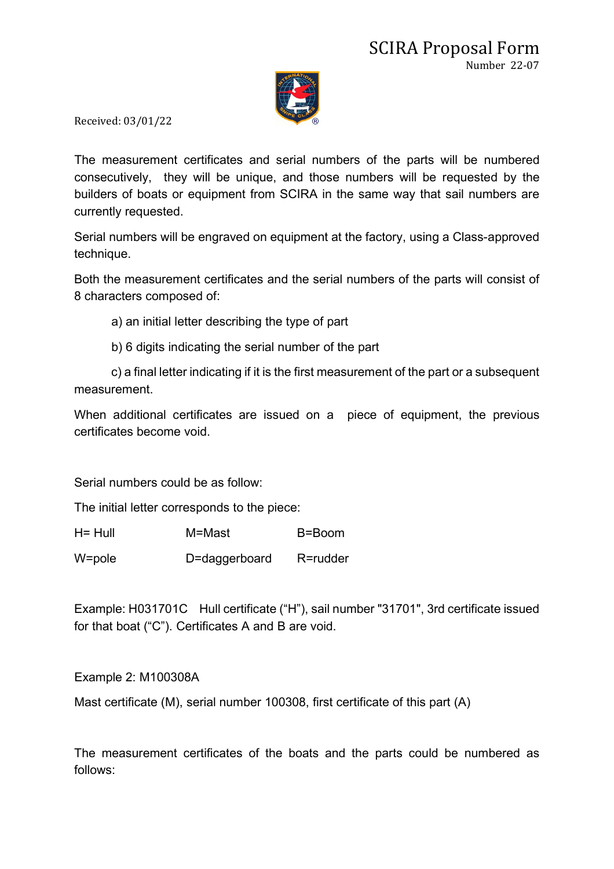

The measurement certificates and serial numbers of the parts will be numbered consecutively, they will be unique, and those numbers will be requested by the builders of boats or equipment from SCIRA in the same way that sail numbers are currently requested.

Serial numbers will be engraved on equipment at the factory, using a Class-approved technique.

Both the measurement certificates and the serial numbers of the parts will consist of 8 characters composed of:

a) an initial letter describing the type of part

b) 6 digits indicating the serial number of the part

c) a final letter indicating if it is the first measurement of the part or a subsequent measurement.

When additional certificates are issued on a piece of equipment, the previous certificates become void.

Serial numbers could be as follow:

The initial letter corresponds to the piece:

| $H = Hull$ | M=Mast | B=Boom |
|------------|--------|--------|
|            |        |        |

W=pole D=daggerboard R=rudder

Example: H031701C Hull certificate ("H"), sail number "31701", 3rd certificate issued for that boat ("C"). Certificates A and B are void.

Example 2: M100308A

Mast certificate (M), serial number 100308, first certificate of this part (A)

The measurement certificates of the boats and the parts could be numbered as follows: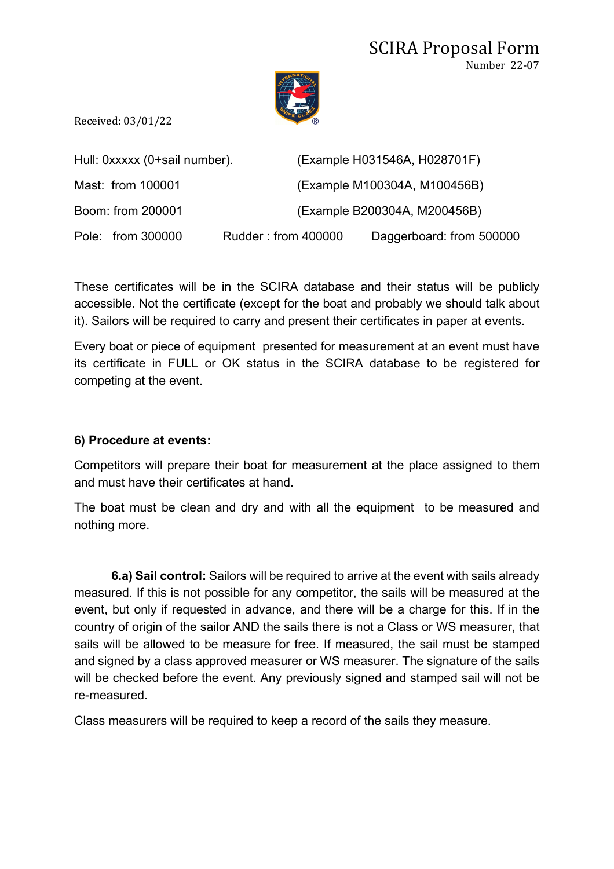

|                   | Hull: 0xxxxx (0+sail number). | (Example H031546A, H028701F) |
|-------------------|-------------------------------|------------------------------|
| Mast: from 100001 |                               | (Example M100304A, M100456B) |
| Boom: from 200001 |                               | (Example B200304A, M200456B) |
| Pole: from 300000 | Rudder: from 400000           | Daggerboard: from 500000     |

These certificates will be in the SCIRA database and their status will be publicly accessible. Not the certificate (except for the boat and probably we should talk about it). Sailors will be required to carry and present their certificates in paper at events.

Every boat or piece of equipment presented for measurement at an event must have its certificate in FULL or OK status in the SCIRA database to be registered for competing at the event.

#### **6) Procedure at events:**

Competitors will prepare their boat for measurement at the place assigned to them and must have their certificates at hand.

The boat must be clean and dry and with all the equipment to be measured and nothing more.

**6.a) Sail control:** Sailors will be required to arrive at the event with sails already measured. If this is not possible for any competitor, the sails will be measured at the event, but only if requested in advance, and there will be a charge for this. If in the country of origin of the sailor AND the sails there is not a Class or WS measurer, that sails will be allowed to be measure for free. If measured, the sail must be stamped and signed by a class approved measurer or WS measurer. The signature of the sails will be checked before the event. Any previously signed and stamped sail will not be re-measured.

Class measurers will be required to keep a record of the sails they measure.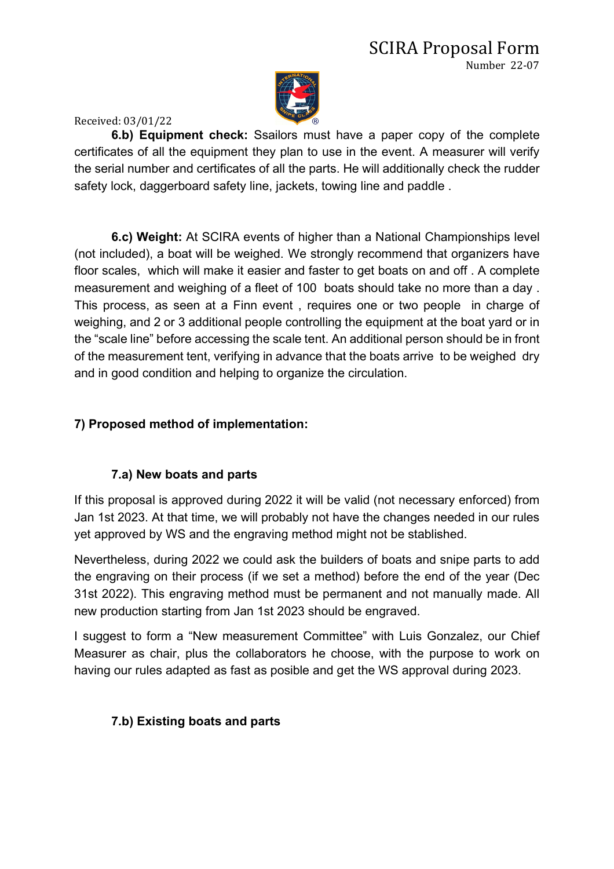

**6.b) Equipment check:** Ssailors must have a paper copy of the complete certificates of all the equipment they plan to use in the event. A measurer will verify the serial number and certificates of all the parts. He will additionally check the rudder safety lock, daggerboard safety line, jackets, towing line and paddle .

**6.c) Weight:** At SCIRA events of higher than a National Championships level (not included), a boat will be weighed. We strongly recommend that organizers have floor scales, which will make it easier and faster to get boats on and off . A complete measurement and weighing of a fleet of 100 boats should take no more than a day . This process, as seen at a Finn event , requires one or two people in charge of weighing, and 2 or 3 additional people controlling the equipment at the boat yard or in the "scale line" before accessing the scale tent. An additional person should be in front of the measurement tent, verifying in advance that the boats arrive to be weighed dry and in good condition and helping to organize the circulation.

## **7) Proposed method of implementation:**

## **7.a) New boats and parts**

If this proposal is approved during 2022 it will be valid (not necessary enforced) from Jan 1st 2023. At that time, we will probably not have the changes needed in our rules yet approved by WS and the engraving method might not be stablished.

Nevertheless, during 2022 we could ask the builders of boats and snipe parts to add the engraving on their process (if we set a method) before the end of the year (Dec 31st 2022). This engraving method must be permanent and not manually made. All new production starting from Jan 1st 2023 should be engraved.

I suggest to form a "New measurement Committee" with Luis Gonzalez, our Chief Measurer as chair, plus the collaborators he choose, with the purpose to work on having our rules adapted as fast as posible and get the WS approval during 2023.

## **7.b) Existing boats and parts**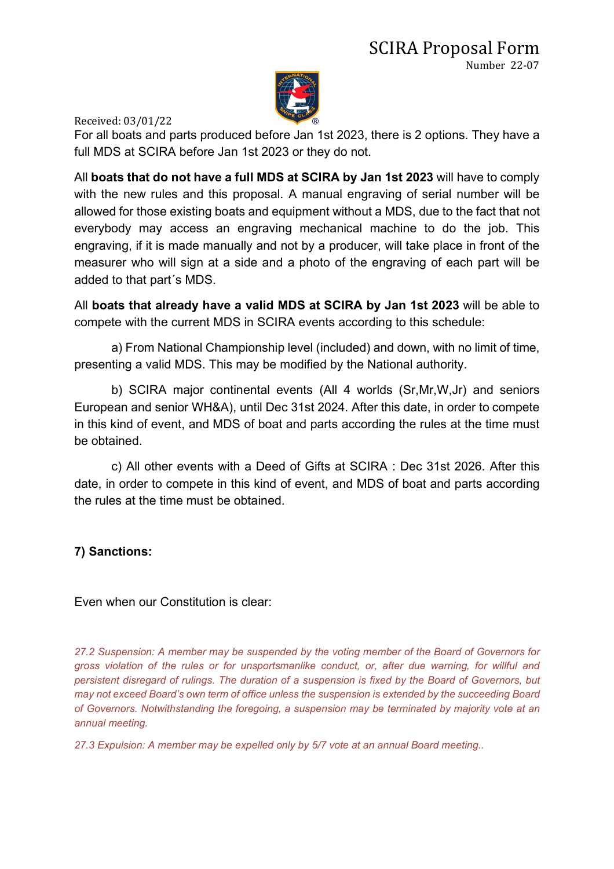

For all boats and parts produced before Jan 1st 2023, there is 2 options. They have a full MDS at SCIRA before Jan 1st 2023 or they do not.

All **boats that do not have a full MDS at SCIRA by Jan 1st 2023** will have to comply with the new rules and this proposal. A manual engraving of serial number will be allowed for those existing boats and equipment without a MDS, due to the fact that not everybody may access an engraving mechanical machine to do the job. This engraving, if it is made manually and not by a producer, will take place in front of the measurer who will sign at a side and a photo of the engraving of each part will be added to that part´s MDS.

All **boats that already have a valid MDS at SCIRA by Jan 1st 2023** will be able to compete with the current MDS in SCIRA events according to this schedule:

a) From National Championship level (included) and down, with no limit of time, presenting a valid MDS. This may be modified by the National authority.

b) SCIRA major continental events (All 4 worlds (Sr,Mr,W,Jr) and seniors European and senior WH&A), until Dec 31st 2024. After this date, in order to compete in this kind of event, and MDS of boat and parts according the rules at the time must be obtained.

c) All other events with a Deed of Gifts at SCIRA : Dec 31st 2026. After this date, in order to compete in this kind of event, and MDS of boat and parts according the rules at the time must be obtained.

#### **7) Sanctions:**

Even when our Constitution is clear:

*27.2 Suspension: A member may be suspended by the voting member of the Board of Governors for gross violation of the rules or for unsportsmanlike conduct, or, after due warning, for willful and persistent disregard of rulings. The duration of a suspension is fixed by the Board of Governors, but may not exceed Board's own term of office unless the suspension is extended by the succeeding Board of Governors. Notwithstanding the foregoing, a suspension may be terminated by majority vote at an annual meeting.*

*27.3 Expulsion: A member may be expelled only by 5/7 vote at an annual Board meeting..*